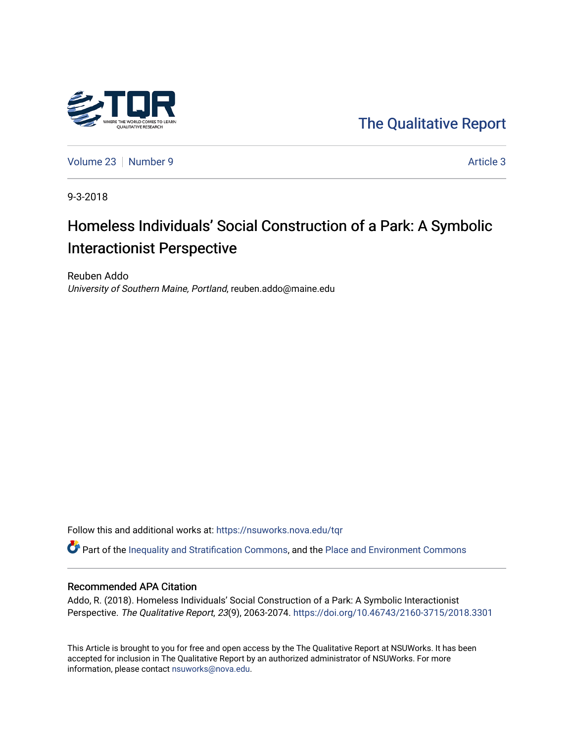

[The Qualitative Report](https://nsuworks.nova.edu/tqr) 

[Volume 23](https://nsuworks.nova.edu/tqr/vol23) [Number 9](https://nsuworks.nova.edu/tqr/vol23/iss9) [Article 3](https://nsuworks.nova.edu/tqr/vol23/iss9/3) Article 3

9-3-2018

# Homeless Individuals' Social Construction of a Park: A Symbolic Interactionist Perspective

Reuben Addo University of Southern Maine, Portland, reuben.addo@maine.edu

Follow this and additional works at: [https://nsuworks.nova.edu/tqr](https://nsuworks.nova.edu/tqr?utm_source=nsuworks.nova.edu%2Ftqr%2Fvol23%2Fiss9%2F3&utm_medium=PDF&utm_campaign=PDFCoverPages) 

Part of the [Inequality and Stratification Commons](http://network.bepress.com/hgg/discipline/421?utm_source=nsuworks.nova.edu%2Ftqr%2Fvol23%2Fiss9%2F3&utm_medium=PDF&utm_campaign=PDFCoverPages), and the [Place and Environment Commons](http://network.bepress.com/hgg/discipline/424?utm_source=nsuworks.nova.edu%2Ftqr%2Fvol23%2Fiss9%2F3&utm_medium=PDF&utm_campaign=PDFCoverPages) 

### Recommended APA Citation

Addo, R. (2018). Homeless Individuals' Social Construction of a Park: A Symbolic Interactionist Perspective. The Qualitative Report, 23(9), 2063-2074. <https://doi.org/10.46743/2160-3715/2018.3301>

This Article is brought to you for free and open access by the The Qualitative Report at NSUWorks. It has been accepted for inclusion in The Qualitative Report by an authorized administrator of NSUWorks. For more information, please contact [nsuworks@nova.edu.](mailto:nsuworks@nova.edu)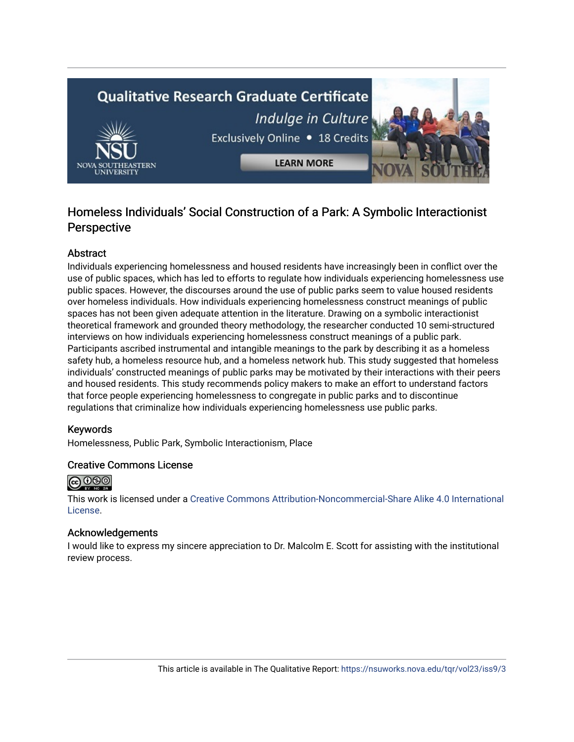# **Qualitative Research Graduate Certificate** Indulge in Culture



Exclusively Online . 18 Credits

**LEARN MORE** 

## Homeless Individuals' Social Construction of a Park: A Symbolic Interactionist **Perspective**

## Abstract

Individuals experiencing homelessness and housed residents have increasingly been in conflict over the use of public spaces, which has led to efforts to regulate how individuals experiencing homelessness use public spaces. However, the discourses around the use of public parks seem to value housed residents over homeless individuals. How individuals experiencing homelessness construct meanings of public spaces has not been given adequate attention in the literature. Drawing on a symbolic interactionist theoretical framework and grounded theory methodology, the researcher conducted 10 semi-structured interviews on how individuals experiencing homelessness construct meanings of a public park. Participants ascribed instrumental and intangible meanings to the park by describing it as a homeless safety hub, a homeless resource hub, and a homeless network hub. This study suggested that homeless individuals' constructed meanings of public parks may be motivated by their interactions with their peers and housed residents. This study recommends policy makers to make an effort to understand factors that force people experiencing homelessness to congregate in public parks and to discontinue regulations that criminalize how individuals experiencing homelessness use public parks.

## Keywords

Homelessness, Public Park, Symbolic Interactionism, Place

## Creative Commons License



This work is licensed under a [Creative Commons Attribution-Noncommercial-Share Alike 4.0 International](https://creativecommons.org/licenses/by-nc-sa/4.0/)  [License](https://creativecommons.org/licenses/by-nc-sa/4.0/).

## Acknowledgements

I would like to express my sincere appreciation to Dr. Malcolm E. Scott for assisting with the institutional review process.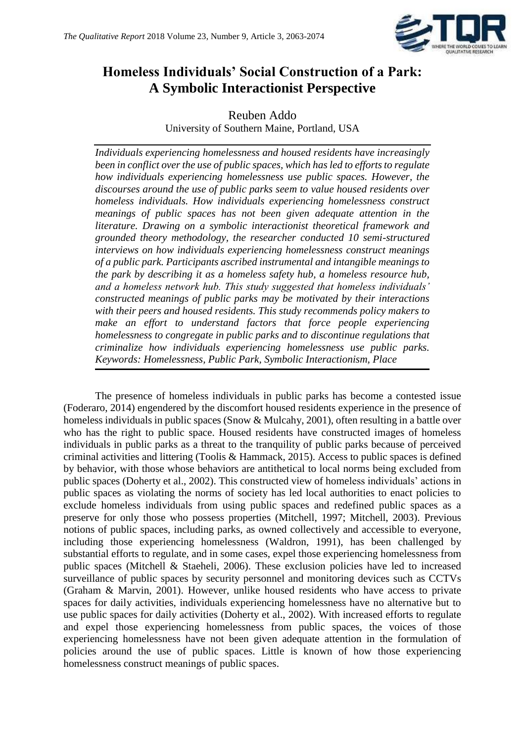

# **Homeless Individuals' Social Construction of a Park: A Symbolic Interactionist Perspective**

Reuben Addo University of Southern Maine, Portland, USA

*Individuals experiencing homelessness and housed residents have increasingly been in conflict over the use of public spaces, which has led to efforts to regulate how individuals experiencing homelessness use public spaces. However, the discourses around the use of public parks seem to value housed residents over homeless individuals. How individuals experiencing homelessness construct meanings of public spaces has not been given adequate attention in the literature. Drawing on a symbolic interactionist theoretical framework and grounded theory methodology, the researcher conducted 10 semi-structured interviews on how individuals experiencing homelessness construct meanings of a public park. Participants ascribed instrumental and intangible meanings to the park by describing it as a homeless safety hub, a homeless resource hub, and a homeless network hub. This study suggested that homeless individuals' constructed meanings of public parks may be motivated by their interactions with their peers and housed residents. This study recommends policy makers to make an effort to understand factors that force people experiencing homelessness to congregate in public parks and to discontinue regulations that criminalize how individuals experiencing homelessness use public parks. Keywords: Homelessness, Public Park, Symbolic Interactionism, Place*

The presence of homeless individuals in public parks has become a contested issue (Foderaro, 2014) engendered by the discomfort housed residents experience in the presence of homeless individuals in public spaces (Snow & Mulcahy, 2001), often resulting in a battle over who has the right to public space. Housed residents have constructed images of homeless individuals in public parks as a threat to the tranquility of public parks because of perceived criminal activities and littering (Toolis & Hammack, 2015). Access to public spaces is defined by behavior, with those whose behaviors are antithetical to local norms being excluded from public spaces (Doherty et al., 2002). This constructed view of homeless individuals' actions in public spaces as violating the norms of society has led local authorities to enact policies to exclude homeless individuals from using public spaces and redefined public spaces as a preserve for only those who possess properties (Mitchell, 1997; Mitchell, 2003). Previous notions of public spaces, including parks, as owned collectively and accessible to everyone, including those experiencing homelessness (Waldron, 1991), has been challenged by substantial efforts to regulate, and in some cases, expel those experiencing homelessness from public spaces (Mitchell & Staeheli, 2006). These exclusion policies have led to increased surveillance of public spaces by security personnel and monitoring devices such as CCTVs (Graham & Marvin, 2001). However, unlike housed residents who have access to private spaces for daily activities, individuals experiencing homelessness have no alternative but to use public spaces for daily activities (Doherty et al., 2002). With increased efforts to regulate and expel those experiencing homelessness from public spaces, the voices of those experiencing homelessness have not been given adequate attention in the formulation of policies around the use of public spaces. Little is known of how those experiencing homelessness construct meanings of public spaces.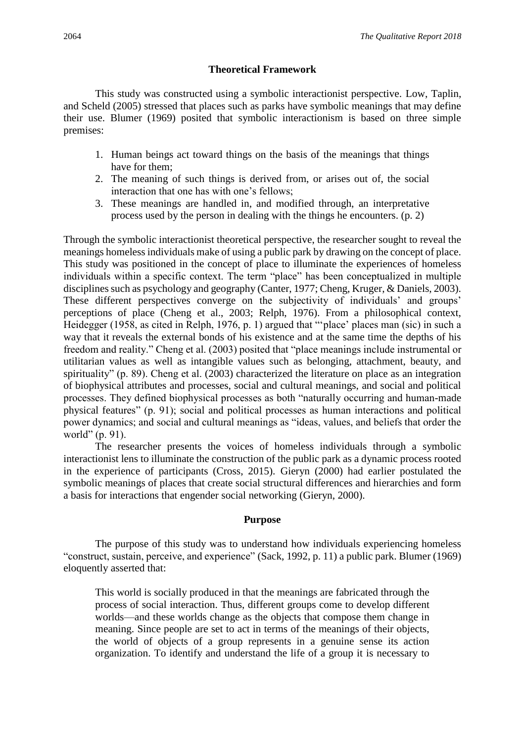## **Theoretical Framework**

This study was constructed using a symbolic interactionist perspective. Low, Taplin, and Scheld (2005) stressed that places such as parks have symbolic meanings that may define their use. Blumer (1969) posited that symbolic interactionism is based on three simple premises:

- 1. Human beings act toward things on the basis of the meanings that things have for them;
- 2. The meaning of such things is derived from, or arises out of, the social interaction that one has with one's fellows;
- 3. These meanings are handled in, and modified through, an interpretative process used by the person in dealing with the things he encounters. (p. 2)

Through the symbolic interactionist theoretical perspective, the researcher sought to reveal the meanings homeless individuals make of using a public park by drawing on the concept of place. This study was positioned in the concept of place to illuminate the experiences of homeless individuals within a specific context. The term "place" has been conceptualized in multiple disciplines such as psychology and geography (Canter, 1977; Cheng, Kruger, & Daniels, 2003). These different perspectives converge on the subjectivity of individuals' and groups' perceptions of place (Cheng et al., 2003; Relph, 1976). From a philosophical context, Heidegger (1958, as cited in Relph, 1976, p. 1) argued that "'place' places man (sic) in such a way that it reveals the external bonds of his existence and at the same time the depths of his freedom and reality." Cheng et al. (2003) posited that "place meanings include instrumental or utilitarian values as well as intangible values such as belonging, attachment, beauty, and spirituality" (p. 89). Cheng et al. (2003) characterized the literature on place as an integration of biophysical attributes and processes, social and cultural meanings, and social and political processes. They defined biophysical processes as both "naturally occurring and human-made physical features" (p. 91); social and political processes as human interactions and political power dynamics; and social and cultural meanings as "ideas, values, and beliefs that order the world" (p. 91).

The researcher presents the voices of homeless individuals through a symbolic interactionist lens to illuminate the construction of the public park as a dynamic process rooted in the experience of participants (Cross, 2015). Gieryn (2000) had earlier postulated the symbolic meanings of places that create social structural differences and hierarchies and form a basis for interactions that engender social networking (Gieryn, 2000).

## **Purpose**

The purpose of this study was to understand how individuals experiencing homeless "construct, sustain, perceive, and experience" (Sack, 1992, p. 11) a public park. Blumer (1969) eloquently asserted that:

This world is socially produced in that the meanings are fabricated through the process of social interaction. Thus, different groups come to develop different worlds—and these worlds change as the objects that compose them change in meaning. Since people are set to act in terms of the meanings of their objects, the world of objects of a group represents in a genuine sense its action organization. To identify and understand the life of a group it is necessary to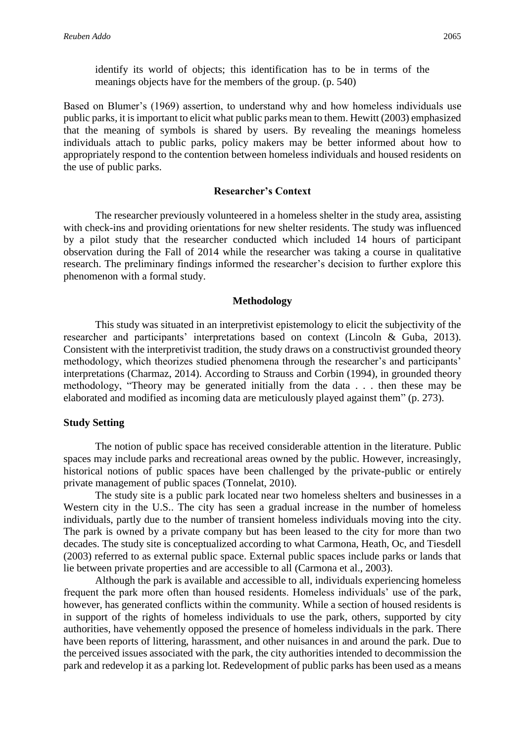identify its world of objects; this identification has to be in terms of the meanings objects have for the members of the group. (p. 540)

Based on Blumer's (1969) assertion, to understand why and how homeless individuals use public parks, it is important to elicit what public parks mean to them. Hewitt (2003) emphasized that the meaning of symbols is shared by users. By revealing the meanings homeless individuals attach to public parks, policy makers may be better informed about how to appropriately respond to the contention between homeless individuals and housed residents on the use of public parks.

### **Researcher's Context**

The researcher previously volunteered in a homeless shelter in the study area, assisting with check-ins and providing orientations for new shelter residents. The study was influenced by a pilot study that the researcher conducted which included 14 hours of participant observation during the Fall of 2014 while the researcher was taking a course in qualitative research. The preliminary findings informed the researcher's decision to further explore this phenomenon with a formal study.

#### **Methodology**

This study was situated in an interpretivist epistemology to elicit the subjectivity of the researcher and participants' interpretations based on context (Lincoln & Guba, 2013). Consistent with the interpretivist tradition, the study draws on a constructivist grounded theory methodology, which theorizes studied phenomena through the researcher's and participants' interpretations (Charmaz, 2014). According to Strauss and Corbin (1994), in grounded theory methodology, "Theory may be generated initially from the data . . . then these may be elaborated and modified as incoming data are meticulously played against them" (p. 273).

#### **Study Setting**

The notion of public space has received considerable attention in the literature. Public spaces may include parks and recreational areas owned by the public. However, increasingly, historical notions of public spaces have been challenged by the private-public or entirely private management of public spaces (Tonnelat, 2010).

The study site is a public park located near two homeless shelters and businesses in a Western city in the U.S.. The city has seen a gradual increase in the number of homeless individuals, partly due to the number of transient homeless individuals moving into the city. The park is owned by a private company but has been leased to the city for more than two decades. The study site is conceptualized according to what Carmona, Heath, Oc, and Tiesdell (2003) referred to as external public space. External public spaces include parks or lands that lie between private properties and are accessible to all (Carmona et al., 2003).

Although the park is available and accessible to all, individuals experiencing homeless frequent the park more often than housed residents. Homeless individuals' use of the park, however, has generated conflicts within the community. While a section of housed residents is in support of the rights of homeless individuals to use the park, others, supported by city authorities, have vehemently opposed the presence of homeless individuals in the park. There have been reports of littering, harassment, and other nuisances in and around the park. Due to the perceived issues associated with the park, the city authorities intended to decommission the park and redevelop it as a parking lot. Redevelopment of public parks has been used as a means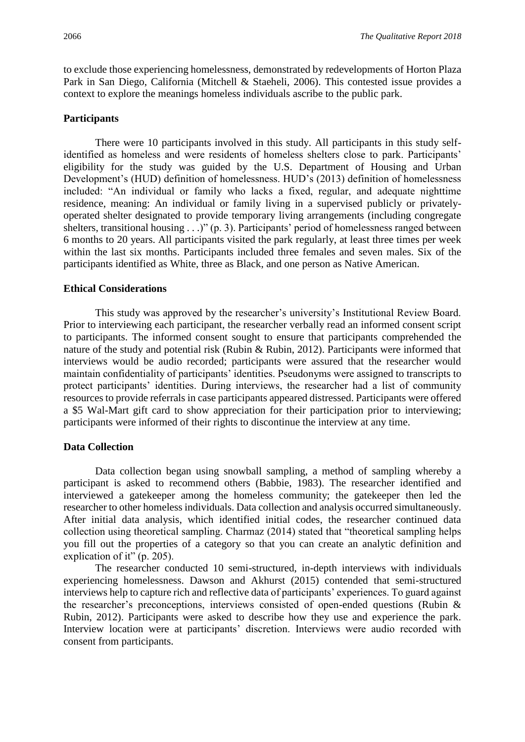to exclude those experiencing homelessness, demonstrated by redevelopments of Horton Plaza Park in San Diego, California (Mitchell & Staeheli, 2006). This contested issue provides a context to explore the meanings homeless individuals ascribe to the public park.

## **Participants**

There were 10 participants involved in this study. All participants in this study selfidentified as homeless and were residents of homeless shelters close to park. Participants' eligibility for the study was guided by the U.S. Department of Housing and Urban Development's (HUD) definition of homelessness. HUD's (2013) definition of homelessness included: "An individual or family who lacks a fixed, regular, and adequate nighttime residence, meaning: An individual or family living in a supervised publicly or privatelyoperated shelter designated to provide temporary living arrangements (including congregate shelters, transitional housing . . .)" (p. 3). Participants' period of homelessness ranged between 6 months to 20 years. All participants visited the park regularly, at least three times per week within the last six months. Participants included three females and seven males. Six of the participants identified as White, three as Black, and one person as Native American.

## **Ethical Considerations**

This study was approved by the researcher's university's Institutional Review Board. Prior to interviewing each participant, the researcher verbally read an informed consent script to participants. The informed consent sought to ensure that participants comprehended the nature of the study and potential risk (Rubin & Rubin, 2012). Participants were informed that interviews would be audio recorded; participants were assured that the researcher would maintain confidentiality of participants' identities. Pseudonyms were assigned to transcripts to protect participants' identities. During interviews, the researcher had a list of community resources to provide referrals in case participants appeared distressed. Participants were offered a \$5 Wal-Mart gift card to show appreciation for their participation prior to interviewing; participants were informed of their rights to discontinue the interview at any time.

## **Data Collection**

Data collection began using snowball sampling, a method of sampling whereby a participant is asked to recommend others (Babbie, 1983). The researcher identified and interviewed a gatekeeper among the homeless community; the gatekeeper then led the researcher to other homeless individuals. Data collection and analysis occurred simultaneously. After initial data analysis, which identified initial codes, the researcher continued data collection using theoretical sampling. Charmaz (2014) stated that "theoretical sampling helps you fill out the properties of a category so that you can create an analytic definition and explication of it" (p. 205).

The researcher conducted 10 semi-structured, in-depth interviews with individuals experiencing homelessness. Dawson and Akhurst (2015) contended that semi-structured interviews help to capture rich and reflective data of participants' experiences. To guard against the researcher's preconceptions, interviews consisted of open-ended questions (Rubin & Rubin, 2012). Participants were asked to describe how they use and experience the park. Interview location were at participants' discretion. Interviews were audio recorded with consent from participants.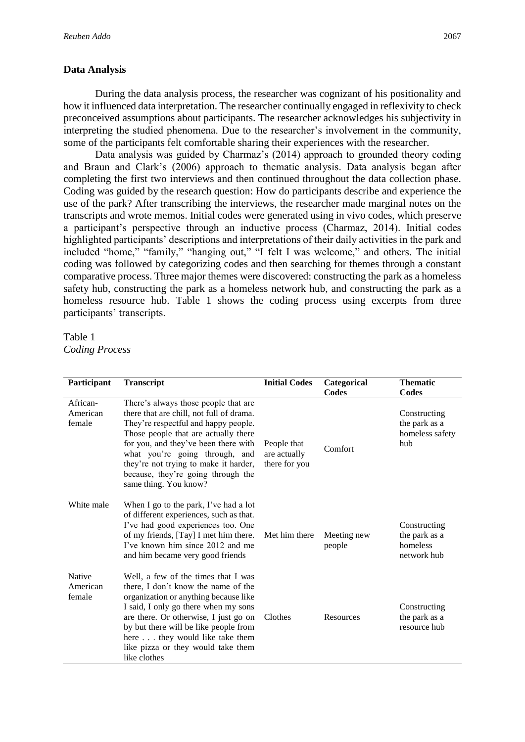## **Data Analysis**

During the data analysis process, the researcher was cognizant of his positionality and how it influenced data interpretation. The researcher continually engaged in reflexivity to check preconceived assumptions about participants. The researcher acknowledges his subjectivity in interpreting the studied phenomena. Due to the researcher's involvement in the community, some of the participants felt comfortable sharing their experiences with the researcher.

Data analysis was guided by Charmaz's (2014) approach to grounded theory coding and Braun and Clark's (2006) approach to thematic analysis. Data analysis began after completing the first two interviews and then continued throughout the data collection phase. Coding was guided by the research question: How do participants describe and experience the use of the park? After transcribing the interviews, the researcher made marginal notes on the transcripts and wrote memos. Initial codes were generated using in vivo codes, which preserve a participant's perspective through an inductive process (Charmaz, 2014). Initial codes highlighted participants' descriptions and interpretations of their daily activities in the park and included "home," "family," "hanging out," "I felt I was welcome," and others. The initial coding was followed by categorizing codes and then searching for themes through a constant comparative process. Three major themes were discovered: constructing the park as a homeless safety hub, constructing the park as a homeless network hub, and constructing the park as a homeless resource hub. Table 1 shows the coding process using excerpts from three participants' transcripts.

Table 1 *Coding Process*

| Participant                    | <b>Transcript</b>                                                                                                                                                                                                                                                                                                                                  | <b>Initial Codes</b>                         | Categorical<br>Codes  | <b>Thematic</b><br>Codes                                 |
|--------------------------------|----------------------------------------------------------------------------------------------------------------------------------------------------------------------------------------------------------------------------------------------------------------------------------------------------------------------------------------------------|----------------------------------------------|-----------------------|----------------------------------------------------------|
| African-<br>American<br>female | There's always those people that are<br>there that are chill, not full of drama.<br>They're respectful and happy people.<br>Those people that are actually there<br>for you, and they've been there with<br>what you're going through, and<br>they're not trying to make it harder,<br>because, they're going through the<br>same thing. You know? | People that<br>are actually<br>there for you | Comfort               | Constructing<br>the park as a<br>homeless safety<br>hub  |
| White male                     | When I go to the park, I've had a lot<br>of different experiences, such as that.<br>I've had good experiences too. One<br>of my friends, [Tay] I met him there.<br>I've known him since 2012 and me<br>and him became very good friends                                                                                                            | Met him there                                | Meeting new<br>people | Constructing<br>the park as a<br>homeless<br>network hub |
| Native<br>American<br>female   | Well, a few of the times that I was<br>there, I don't know the name of the<br>organization or anything because like<br>I said, I only go there when my sons<br>are there. Or otherwise, I just go on<br>by but there will be like people from<br>here they would like take them<br>like pizza or they would take them<br>like clothes              | Clothes                                      | <b>Resources</b>      | Constructing<br>the park as a<br>resource hub            |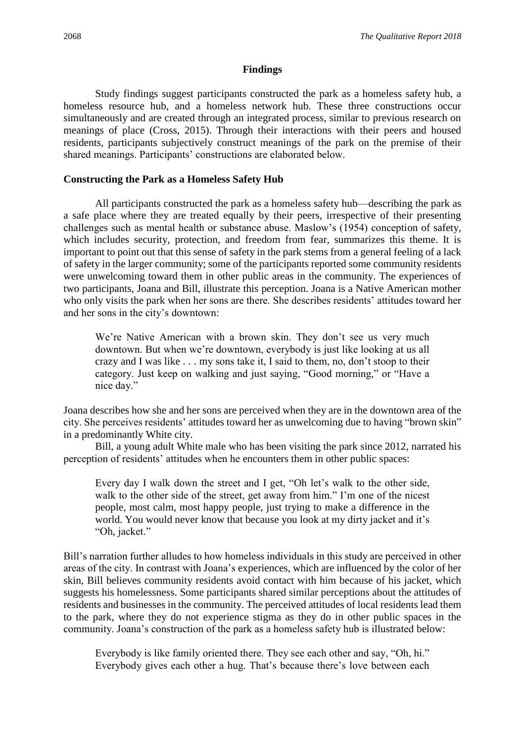## **Findings**

Study findings suggest participants constructed the park as a homeless safety hub, a homeless resource hub, and a homeless network hub. These three constructions occur simultaneously and are created through an integrated process, similar to previous research on meanings of place (Cross, 2015). Through their interactions with their peers and housed residents, participants subjectively construct meanings of the park on the premise of their shared meanings. Participants' constructions are elaborated below.

## **Constructing the Park as a Homeless Safety Hub**

All participants constructed the park as a homeless safety hub—describing the park as a safe place where they are treated equally by their peers, irrespective of their presenting challenges such as mental health or substance abuse. Maslow's (1954) conception of safety, which includes security, protection, and freedom from fear, summarizes this theme. It is important to point out that this sense of safety in the park stems from a general feeling of a lack of safety in the larger community; some of the participants reported some community residents were unwelcoming toward them in other public areas in the community. The experiences of two participants, Joana and Bill, illustrate this perception. Joana is a Native American mother who only visits the park when her sons are there. She describes residents' attitudes toward her and her sons in the city's downtown:

We're Native American with a brown skin. They don't see us very much downtown. But when we're downtown, everybody is just like looking at us all crazy and I was like . . . my sons take it, I said to them, no, don't stoop to their category. Just keep on walking and just saying, "Good morning," or "Have a nice day."

Joana describes how she and her sons are perceived when they are in the downtown area of the city. She perceives residents' attitudes toward her as unwelcoming due to having "brown skin" in a predominantly White city.

Bill, a young adult White male who has been visiting the park since 2012, narrated his perception of residents' attitudes when he encounters them in other public spaces:

Every day I walk down the street and I get, "Oh let's walk to the other side, walk to the other side of the street, get away from him." I'm one of the nicest people, most calm, most happy people, just trying to make a difference in the world. You would never know that because you look at my dirty jacket and it's "Oh, jacket."

Bill's narration further alludes to how homeless individuals in this study are perceived in other areas of the city. In contrast with Joana's experiences, which are influenced by the color of her skin, Bill believes community residents avoid contact with him because of his jacket, which suggests his homelessness. Some participants shared similar perceptions about the attitudes of residents and businesses in the community. The perceived attitudes of local residents lead them to the park, where they do not experience stigma as they do in other public spaces in the community. Joana's construction of the park as a homeless safety hub is illustrated below:

Everybody is like family oriented there. They see each other and say, "Oh, hi." Everybody gives each other a hug. That's because there's love between each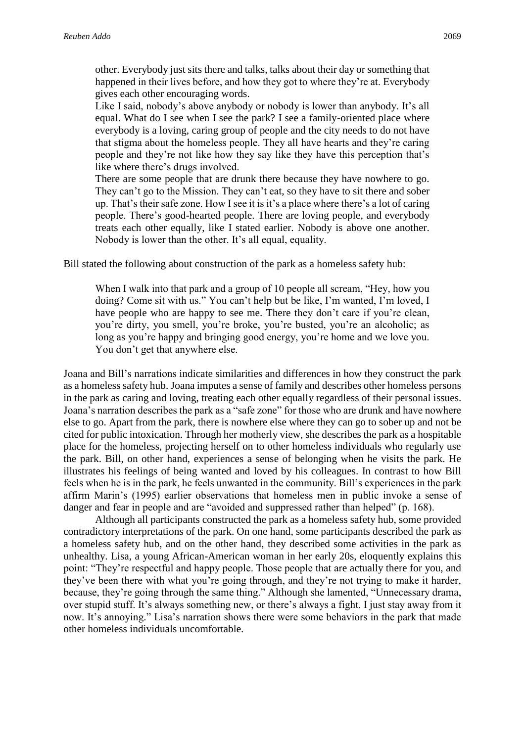other. Everybody just sits there and talks, talks about their day or something that happened in their lives before, and how they got to where they're at. Everybody gives each other encouraging words.

Like I said, nobody's above anybody or nobody is lower than anybody. It's all equal. What do I see when I see the park? I see a family-oriented place where everybody is a loving, caring group of people and the city needs to do not have that stigma about the homeless people. They all have hearts and they're caring people and they're not like how they say like they have this perception that's like where there's drugs involved.

There are some people that are drunk there because they have nowhere to go. They can't go to the Mission. They can't eat, so they have to sit there and sober up. That's their safe zone. How I see it is it's a place where there's a lot of caring people. There's good-hearted people. There are loving people, and everybody treats each other equally, like I stated earlier. Nobody is above one another. Nobody is lower than the other. It's all equal, equality.

Bill stated the following about construction of the park as a homeless safety hub:

When I walk into that park and a group of 10 people all scream, "Hey, how you doing? Come sit with us." You can't help but be like, I'm wanted, I'm loved, I have people who are happy to see me. There they don't care if you're clean, you're dirty, you smell, you're broke, you're busted, you're an alcoholic; as long as you're happy and bringing good energy, you're home and we love you. You don't get that anywhere else.

Joana and Bill's narrations indicate similarities and differences in how they construct the park as a homeless safety hub. Joana imputes a sense of family and describes other homeless persons in the park as caring and loving, treating each other equally regardless of their personal issues. Joana's narration describes the park as a "safe zone" for those who are drunk and have nowhere else to go. Apart from the park, there is nowhere else where they can go to sober up and not be cited for public intoxication. Through her motherly view, she describes the park as a hospitable place for the homeless, projecting herself on to other homeless individuals who regularly use the park. Bill, on other hand, experiences a sense of belonging when he visits the park. He illustrates his feelings of being wanted and loved by his colleagues. In contrast to how Bill feels when he is in the park, he feels unwanted in the community. Bill's experiences in the park affirm Marin's (1995) earlier observations that homeless men in public invoke a sense of danger and fear in people and are "avoided and suppressed rather than helped" (p. 168).

Although all participants constructed the park as a homeless safety hub, some provided contradictory interpretations of the park. On one hand, some participants described the park as a homeless safety hub, and on the other hand, they described some activities in the park as unhealthy. Lisa, a young African-American woman in her early 20s, eloquently explains this point: "They're respectful and happy people. Those people that are actually there for you, and they've been there with what you're going through, and they're not trying to make it harder, because, they're going through the same thing." Although she lamented, "Unnecessary drama, over stupid stuff. It's always something new, or there's always a fight. I just stay away from it now. It's annoying." Lisa's narration shows there were some behaviors in the park that made other homeless individuals uncomfortable.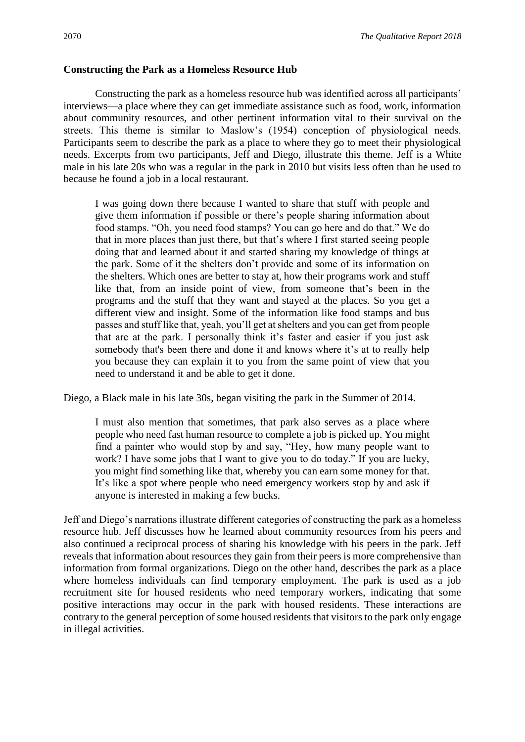#### **Constructing the Park as a Homeless Resource Hub**

Constructing the park as a homeless resource hub was identified across all participants' interviews—a place where they can get immediate assistance such as food, work, information about community resources, and other pertinent information vital to their survival on the streets. This theme is similar to Maslow's (1954) conception of physiological needs. Participants seem to describe the park as a place to where they go to meet their physiological needs. Excerpts from two participants, Jeff and Diego, illustrate this theme. Jeff is a White male in his late 20s who was a regular in the park in 2010 but visits less often than he used to because he found a job in a local restaurant.

I was going down there because I wanted to share that stuff with people and give them information if possible or there's people sharing information about food stamps. "Oh, you need food stamps? You can go here and do that." We do that in more places than just there, but that's where I first started seeing people doing that and learned about it and started sharing my knowledge of things at the park. Some of it the shelters don't provide and some of its information on the shelters. Which ones are better to stay at, how their programs work and stuff like that, from an inside point of view, from someone that's been in the programs and the stuff that they want and stayed at the places. So you get a different view and insight. Some of the information like food stamps and bus passes and stuff like that, yeah, you'll get at shelters and you can get from people that are at the park. I personally think it's faster and easier if you just ask somebody that's been there and done it and knows where it's at to really help you because they can explain it to you from the same point of view that you need to understand it and be able to get it done.

Diego, a Black male in his late 30s, began visiting the park in the Summer of 2014.

I must also mention that sometimes, that park also serves as a place where people who need fast human resource to complete a job is picked up. You might find a painter who would stop by and say, "Hey, how many people want to work? I have some jobs that I want to give you to do today." If you are lucky, you might find something like that, whereby you can earn some money for that. It's like a spot where people who need emergency workers stop by and ask if anyone is interested in making a few bucks.

Jeff and Diego's narrations illustrate different categories of constructing the park as a homeless resource hub. Jeff discusses how he learned about community resources from his peers and also continued a reciprocal process of sharing his knowledge with his peers in the park. Jeff reveals that information about resources they gain from their peers is more comprehensive than information from formal organizations. Diego on the other hand, describes the park as a place where homeless individuals can find temporary employment. The park is used as a job recruitment site for housed residents who need temporary workers, indicating that some positive interactions may occur in the park with housed residents. These interactions are contrary to the general perception of some housed residents that visitors to the park only engage in illegal activities.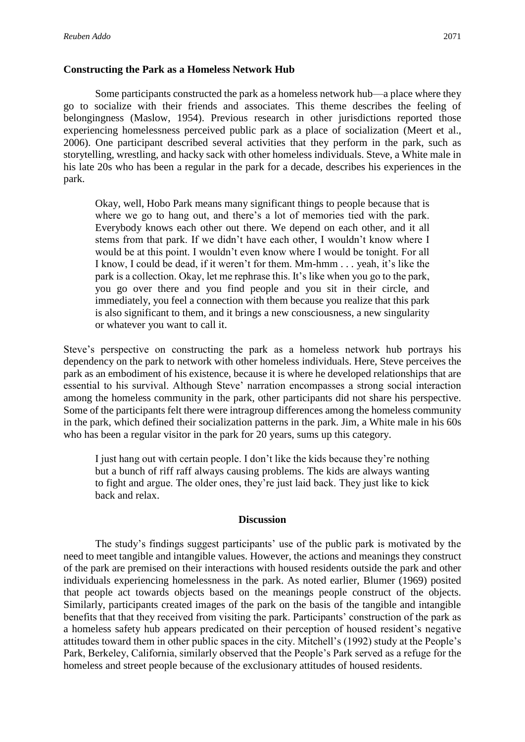## **Constructing the Park as a Homeless Network Hub**

Some participants constructed the park as a homeless network hub—a place where they go to socialize with their friends and associates. This theme describes the feeling of belongingness (Maslow, 1954). Previous research in other jurisdictions reported those experiencing homelessness perceived public park as a place of socialization (Meert et al., 2006). One participant described several activities that they perform in the park, such as storytelling, wrestling, and hacky sack with other homeless individuals. Steve, a White male in his late 20s who has been a regular in the park for a decade, describes his experiences in the park.

Okay, well, Hobo Park means many significant things to people because that is where we go to hang out, and there's a lot of memories tied with the park. Everybody knows each other out there. We depend on each other, and it all stems from that park. If we didn't have each other, I wouldn't know where I would be at this point. I wouldn't even know where I would be tonight. For all I know, I could be dead, if it weren't for them. Mm-hmm . . . yeah, it's like the park is a collection. Okay, let me rephrase this. It's like when you go to the park, you go over there and you find people and you sit in their circle, and immediately, you feel a connection with them because you realize that this park is also significant to them, and it brings a new consciousness, a new singularity or whatever you want to call it.

Steve's perspective on constructing the park as a homeless network hub portrays his dependency on the park to network with other homeless individuals. Here, Steve perceives the park as an embodiment of his existence, because it is where he developed relationships that are essential to his survival. Although Steve' narration encompasses a strong social interaction among the homeless community in the park, other participants did not share his perspective. Some of the participants felt there were intragroup differences among the homeless community in the park, which defined their socialization patterns in the park. Jim, a White male in his 60s who has been a regular visitor in the park for 20 years, sums up this category.

I just hang out with certain people. I don't like the kids because they're nothing but a bunch of riff raff always causing problems. The kids are always wanting to fight and argue. The older ones, they're just laid back. They just like to kick back and relax.

### **Discussion**

The study's findings suggest participants' use of the public park is motivated by the need to meet tangible and intangible values. However, the actions and meanings they construct of the park are premised on their interactions with housed residents outside the park and other individuals experiencing homelessness in the park. As noted earlier, Blumer (1969) posited that people act towards objects based on the meanings people construct of the objects. Similarly, participants created images of the park on the basis of the tangible and intangible benefits that that they received from visiting the park. Participants' construction of the park as a homeless safety hub appears predicated on their perception of housed resident's negative attitudes toward them in other public spaces in the city. Mitchell's (1992) study at the People's Park, Berkeley, California, similarly observed that the People's Park served as a refuge for the homeless and street people because of the exclusionary attitudes of housed residents.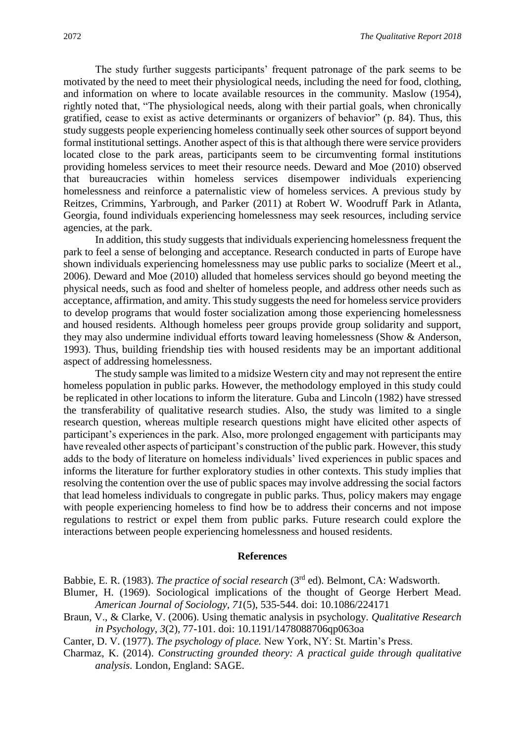The study further suggests participants' frequent patronage of the park seems to be motivated by the need to meet their physiological needs, including the need for food, clothing, and information on where to locate available resources in the community. Maslow (1954), rightly noted that, "The physiological needs, along with their partial goals, when chronically gratified, cease to exist as active determinants or organizers of behavior" (p. 84). Thus, this study suggests people experiencing homeless continually seek other sources of support beyond formal institutional settings. Another aspect of this is that although there were service providers located close to the park areas, participants seem to be circumventing formal institutions providing homeless services to meet their resource needs. Deward and Moe (2010) observed that bureaucracies within homeless services disempower individuals experiencing homelessness and reinforce a paternalistic view of homeless services. A previous study by Reitzes, Crimmins, Yarbrough, and Parker (2011) at Robert W. Woodruff Park in Atlanta, Georgia, found individuals experiencing homelessness may seek resources, including service agencies, at the park.

In addition, this study suggests that individuals experiencing homelessness frequent the park to feel a sense of belonging and acceptance. Research conducted in parts of Europe have shown individuals experiencing homelessness may use public parks to socialize (Meert et al., 2006). Deward and Moe (2010) alluded that homeless services should go beyond meeting the physical needs, such as food and shelter of homeless people, and address other needs such as acceptance, affirmation, and amity. This study suggests the need for homeless service providers to develop programs that would foster socialization among those experiencing homelessness and housed residents. Although homeless peer groups provide group solidarity and support, they may also undermine individual efforts toward leaving homelessness (Show & Anderson, 1993). Thus, building friendship ties with housed residents may be an important additional aspect of addressing homelessness.

The study sample was limited to a midsize Western city and may not represent the entire homeless population in public parks. However, the methodology employed in this study could be replicated in other locations to inform the literature. Guba and Lincoln (1982) have stressed the transferability of qualitative research studies. Also, the study was limited to a single research question, whereas multiple research questions might have elicited other aspects of participant's experiences in the park. Also, more prolonged engagement with participants may have revealed other aspects of participant's construction of the public park. However, this study adds to the body of literature on homeless individuals' lived experiences in public spaces and informs the literature for further exploratory studies in other contexts. This study implies that resolving the contention over the use of public spaces may involve addressing the social factors that lead homeless individuals to congregate in public parks. Thus, policy makers may engage with people experiencing homeless to find how be to address their concerns and not impose regulations to restrict or expel them from public parks. Future research could explore the interactions between people experiencing homelessness and housed residents.

#### **References**

Babbie, E. R. (1983). *The practice of social research* (3<sup>rd</sup> ed). Belmont, CA: Wadsworth.

- Blumer, H. (1969). Sociological implications of the thought of George Herbert Mead. *American Journal of Sociology, 71*(5), 535-544. doi: 10.1086/224171
- Braun, V., & Clarke, V. (2006). Using thematic analysis in psychology. *Qualitative Research in Psychology*, *3*(2), 77-101. doi: 10.1191/1478088706qp063oa
- Canter, D. V. (1977). *The psychology of place.* New York, NY: St. Martin's Press.
- Charmaz, K. (2014). *Constructing grounded theory: A practical guide through qualitative analysis.* London, England: SAGE.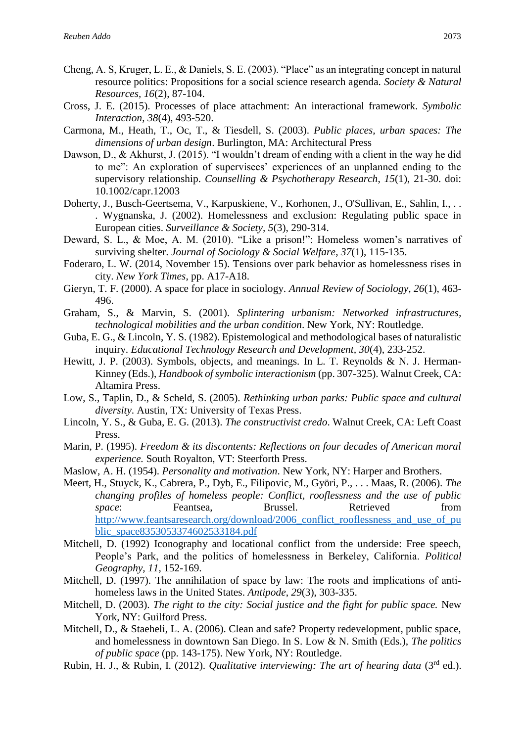- Cheng, A. S, Kruger, L. E., & Daniels, S. E. (2003). "Place" as an integrating concept in natural resource politics: Propositions for a social science research agenda. *Society & Natural Resources, 16*(2), 87-104.
- Cross, J. E. (2015). Processes of place attachment: An interactional framework. *Symbolic Interaction*, *38*(4), 493-520.
- Carmona, M., Heath, T., Oc, T., & Tiesdell, S. (2003). *Public places, urban spaces: The dimensions of urban design*. Burlington, MA: Architectural Press
- Dawson, D., & Akhurst, J. (2015). "I wouldn't dream of ending with a client in the way he did to me": An exploration of supervisees' experiences of an unplanned ending to the supervisory relationship. *Counselling & Psychotherapy Research*, *15*(1), 21-30. doi: 10.1002/capr.12003
- Doherty, J., Busch-Geertsema, V., Karpuskiene, V., Korhonen, J., O'Sullivan, E., Sahlin, I., . . . Wygnanska, J. (2002). Homelessness and exclusion: Regulating public space in European cities. *Surveillance & Society, 5*(3), 290-314.
- Deward, S. L., & Moe, A. M. (2010). "Like a prison!": Homeless women's narratives of surviving shelter. *Journal of Sociology & Social Welfare*, *37*(1), 115-135.
- Foderaro, L. W. (2014, November 15). Tensions over park behavior as homelessness rises in city. *New York Times*, pp. A17-A18.
- Gieryn, T. F. (2000). A space for place in sociology. *Annual Review of Sociology, 26*(1), 463- 496.
- Graham, S., & Marvin, S. (2001). *Splintering urbanism: Networked infrastructures, technological mobilities and the urban condition*. New York, NY: Routledge.
- Guba, E. G., & Lincoln, Y. S. (1982). Epistemological and methodological bases of naturalistic inquiry. *Educational Technology Research and Development, 30*(4), 233-252.
- Hewitt, J. P. (2003). Symbols, objects, and meanings. In L. T. Reynolds & N. J. Herman-Kinney (Eds.), *Handbook of symbolic interactionism* (pp. 307-325). Walnut Creek, CA: Altamira Press.
- Low, S., Taplin, D., & Scheld, S. (2005). *Rethinking urban parks: Public space and cultural diversity*. Austin, TX: University of Texas Press.
- Lincoln, Y. S., & Guba, E. G. (2013). *The constructivist credo*. Walnut Creek, CA: Left Coast Press.
- Marin, P. (1995). *Freedom & its discontents: Reflections on four decades of American moral experience.* South Royalton, VT: Steerforth Press.
- Maslow, A. H. (1954). *Personality and motivation*. New York, NY: Harper and Brothers.
- Meert, H., Stuyck, K., Cabrera, P., Dyb, E., Filipovic, M., Györi, P., . . . Maas, R. (2006). *The changing profiles of homeless people: Conflict, rooflessness and the use of public space*: Feantsea, Brussel. Retrieved from [http://www.feantsaresearch.org/download/2006\\_conflict\\_rooflessness\\_and\\_use\\_of\\_pu](http://www.feantsaresearch.org/download/2006_conflict_rooflessness_and_use_of_public_space8353053374602533184.pdf) [blic\\_space8353053374602533184.pdf](http://www.feantsaresearch.org/download/2006_conflict_rooflessness_and_use_of_public_space8353053374602533184.pdf)
- Mitchell, D. (1992) Iconography and locational conflict from the underside: Free speech, People's Park, and the politics of homelessness in Berkeley, California. *Political Geography, 11,* 152-169.
- Mitchell, D. (1997). The annihilation of space by law: The roots and implications of antihomeless laws in the United States. *Antipode*, *29*(3), 303-335.
- Mitchell, D. (2003). *The right to the city: Social justice and the fight for public space.* New York, NY: Guilford Press.
- Mitchell, D., & Staeheli, L. A. (2006). Clean and safe? Property redevelopment, public space, and homelessness in downtown San Diego. In S. Low & N. Smith (Eds.), *The politics of public space* (pp. 143-175). New York, NY: Routledge.
- Rubin, H. J., & Rubin, I. (2012). *Qualitative interviewing: The art of hearing data* (3rd ed.).